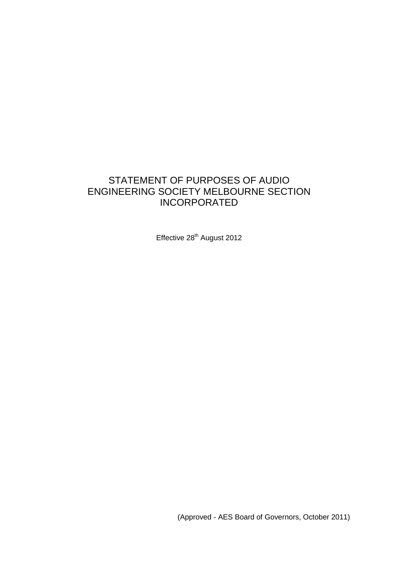## STATEMENT OF PURPOSES OF AUDIO ENGINEERING SOCIETY MELBOURNE SECTION INCORPORATED

Effective 28<sup>th</sup> August 2012

(Approved - AES Board of Governors, October 2011)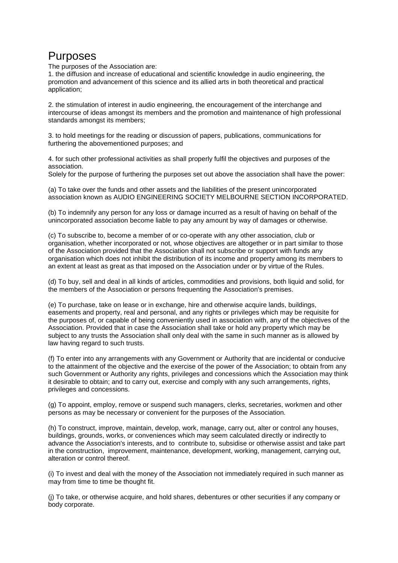# Purposes

The purposes of the Association are:

1. the diffusion and increase of educational and scientific knowledge in audio engineering, the promotion and advancement of this science and its allied arts in both theoretical and practical application;

2. the stimulation of interest in audio engineering, the encouragement of the interchange and intercourse of ideas amongst its members and the promotion and maintenance of high professional standards amongst its members;

3. to hold meetings for the reading or discussion of papers, publications, communications for furthering the abovementioned purposes; and

4. for such other professional activities as shall properly fulfil the objectives and purposes of the association.

Solely for the purpose of furthering the purposes set out above the association shall have the power:

(a) To take over the funds and other assets and the liabilities of the present unincorporated association known as AUDIO ENGINEERING SOCIETY MELBOURNE SECTION INCORPORATED.

(b) To indemnify any person for any loss or damage incurred as a result of having on behalf of the unincorporated association become liable to pay any amount by way of damages or otherwise.

(c) To subscribe to, become a member of or co-operate with any other association, club or organisation, whether incorporated or not, whose objectives are altogether or in part similar to those of the Association provided that the Association shall not subscribe or support with funds any organisation which does not inhibit the distribution of its income and property among its members to an extent at least as great as that imposed on the Association under or by virtue of the Rules.

(d) To buy, sell and deal in all kinds of articles, commodities and provisions, both liquid and solid, for the members of the Association or persons frequenting the Association's premises.

(e) To purchase, take on lease or in exchange, hire and otherwise acquire lands, buildings, easements and property, real and personal, and any rights or privileges which may be requisite for the purposes of, or capable of being conveniently used in association with, any of the objectives of the Association. Provided that in case the Association shall take or hold any property which may be subject to any trusts the Association shall only deal with the same in such manner as is allowed by law having regard to such trusts.

(f) To enter into any arrangements with any Government or Authority that are incidental or conducive to the attainment of the objective and the exercise of the power of the Association; to obtain from any such Government or Authority any rights, privileges and concessions which the Association may think it desirable to obtain; and to carry out, exercise and comply with any such arrangements, rights, privileges and concessions.

(g) To appoint, employ, remove or suspend such managers, clerks, secretaries, workmen and other persons as may be necessary or convenient for the purposes of the Association.

(h) To construct, improve, maintain, develop, work, manage, carry out, alter or control any houses, buildings, grounds, works, or conveniences which may seem calculated directly or indirectly to advance the Association's interests, and to contribute to, subsidise or otherwise assist and take part in the construction, improvement, maintenance, development, working, management, carrying out, alteration or control thereof.

(i) To invest and deal with the money of the Association not immediately required in such manner as may from time to time be thought fit.

(j) To take, or otherwise acquire, and hold shares, debentures or other securities if any company or body corporate.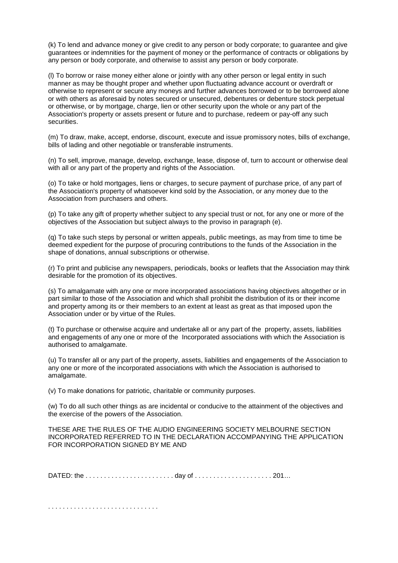(k) To lend and advance money or give credit to any person or body corporate; to guarantee and give guarantees or indemnities for the payment of money or the performance of contracts or obligations by any person or body corporate, and otherwise to assist any person or body corporate.

(l) To borrow or raise money either alone or jointly with any other person or legal entity in such manner as may be thought proper and whether upon fluctuating advance account or overdraft or otherwise to represent or secure any moneys and further advances borrowed or to be borrowed alone or with others as aforesaid by notes secured or unsecured, debentures or debenture stock perpetual or otherwise, or by mortgage, charge, lien or other security upon the whole or any part of the Association's property or assets present or future and to purchase, redeem or pay-off any such securities.

(m) To draw, make, accept, endorse, discount, execute and issue promissory notes, bills of exchange, bills of lading and other negotiable or transferable instruments.

(n) To sell, improve, manage, develop, exchange, lease, dispose of, turn to account or otherwise deal with all or any part of the property and rights of the Association.

(o) To take or hold mortgages, liens or charges, to secure payment of purchase price, of any part of the Association's property of whatsoever kind sold by the Association, or any money due to the Association from purchasers and others.

(p) To take any gift of property whether subject to any special trust or not, for any one or more of the objectives of the Association but subject always to the proviso in paragraph (e).

(q) To take such steps by personal or written appeals, public meetings, as may from time to time be deemed expedient for the purpose of procuring contributions to the funds of the Association in the shape of donations, annual subscriptions or otherwise.

(r) To print and publicise any newspapers, periodicals, books or leaflets that the Association may think desirable for the promotion of its objectives.

(s) To amalgamate with any one or more incorporated associations having objectives altogether or in part similar to those of the Association and which shall prohibit the distribution of its or their income and property among its or their members to an extent at least as great as that imposed upon the Association under or by virtue of the Rules.

(t) To purchase or otherwise acquire and undertake all or any part of the property, assets, liabilities and engagements of any one or more of the Incorporated associations with which the Association is authorised to amalgamate.

(u) To transfer all or any part of the property, assets, liabilities and engagements of the Association to any one or more of the incorporated associations with which the Association is authorised to amalgamate.

(v) To make donations for patriotic, charitable or community purposes.

(w) To do all such other things as are incidental or conducive to the attainment of the objectives and the exercise of the powers of the Association.

THESE ARE THE RULES OF THE AUDIO ENGINEERING SOCIETY MELBOURNE SECTION INCORPORATED REFERRED TO IN THE DECLARATION ACCOMPANYING THE APPLICATION FOR INCORPORATION SIGNED BY ME AND

DATED: the . . . . . . . . . . . . . . . . . . . . . . . . day of . . . . . . . . . . . . . . . . . . . . . 201…

. . . . . . . . . . . . . . . . . . . . . . . . . . . . . .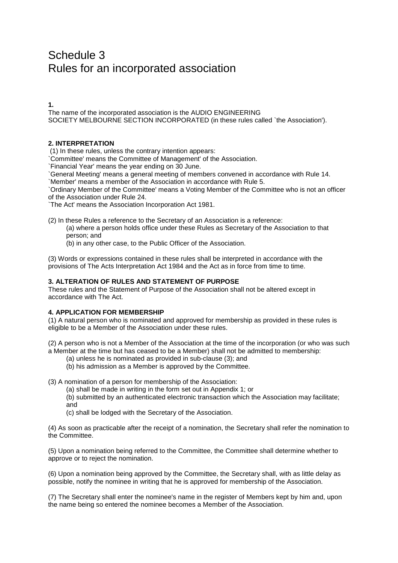# Schedule 3 Rules for an incorporated association

**1.**

The name of the incorporated association is the AUDIO ENGINEERING SOCIETY MELBOURNE SECTION INCORPORATED (in these rules called `the Association').

## **2. INTERPRETATION**

(1) In these rules, unless the contrary intention appears:

`Committee' means the Committee of Management' of the Association.

`Financial Year' means the year ending on 30 June.

`General Meeting' means a general meeting of members convened in accordance with Rule 14.

`Member' means a member of the Association in accordance with Rule 5.

`Ordinary Member of the Committee' means a Voting Member of the Committee who is not an officer of the Association under Rule 24.

`The Act' means the Association Incorporation Act 1981.

(2) In these Rules a reference to the Secretary of an Association is a reference:

(a) where a person holds office under these Rules as Secretary of the Association to that person; and

(b) in any other case, to the Public Officer of the Association.

(3) Words or expressions contained in these rules shall be interpreted in accordance with the provisions of The Acts Interpretation Act 1984 and the Act as in force from time to time.

## **3. ALTERATION OF RULES AND STATEMENT OF PURPOSE**

These rules and the Statement of Purpose of the Association shall not be altered except in accordance with The Act.

## **4. APPLICATION FOR MEMBERSHIP**

(1) A natural person who is nominated and approved for membership as provided in these rules is eligible to be a Member of the Association under these rules.

(2) A person who is not a Member of the Association at the time of the incorporation (or who was such a Member at the time but has ceased to be a Member) shall not be admitted to membership:

(a) unless he is nominated as provided in sub-clause (3); and

(b) his admission as a Member is approved by the Committee.

(3) A nomination of a person for membership of the Association:

(a) shall be made in writing in the form set out in Appendix 1; or

(b) submitted by an authenticated electronic transaction which the Association may facilitate; and

(c) shall be lodged with the Secretary of the Association.

(4) As soon as practicable after the receipt of a nomination, the Secretary shall refer the nomination to the Committee.

(5) Upon a nomination being referred to the Committee, the Committee shall determine whether to approve or to reject the nomination.

(6) Upon a nomination being approved by the Committee, the Secretary shall, with as little delay as possible, notify the nominee in writing that he is approved for membership of the Association.

(7) The Secretary shall enter the nominee's name in the register of Members kept by him and, upon the name being so entered the nominee becomes a Member of the Association.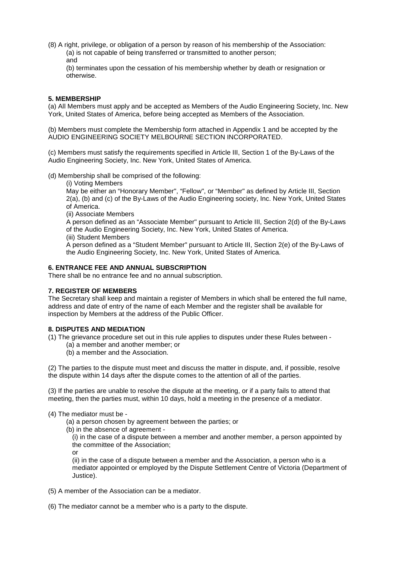(8) A right, privilege, or obligation of a person by reason of his membership of the Association: (a) is not capable of being transferred or transmitted to another person; and

(b) terminates upon the cessation of his membership whether by death or resignation or otherwise.

## **5. MEMBERSHIP**

(a) All Members must apply and be accepted as Members of the Audio Engineering Society, Inc. New York, United States of America, before being accepted as Members of the Association.

(b) Members must complete the Membership form attached in Appendix 1 and be accepted by the AUDIO ENGINEERING SOCIETY MELBOURNE SECTION INCORPORATED.

(c) Members must satisfy the requirements specified in Article III, Section 1 of the By-Laws of the Audio Engineering Society, Inc. New York, United States of America.

(d) Membership shall be comprised of the following:

(i) Voting Members

May be either an "Honorary Member", "Fellow", or "Member" as defined by Article III, Section 2(a), (b) and (c) of the By-Laws of the Audio Engineering society, Inc. New York, United States of America.

(ii) Associate Members

A person defined as an "Associate Member" pursuant to Article III, Section 2(d) of the By-Laws of the Audio Engineering Society, Inc. New York, United States of America.

(iii) Student Members

A person defined as a "Student Member" pursuant to Article III, Section 2(e) of the By-Laws of the Audio Engineering Society, Inc. New York, United States of America.

## **6. ENTRANCE FEE AND ANNUAL SUBSCRIPTION**

There shall be no entrance fee and no annual subscription.

#### **7. REGISTER OF MEMBERS**

The Secretary shall keep and maintain a register of Members in which shall be entered the full name, address and date of entry of the name of each Member and the register shall be available for inspection by Members at the address of the Public Officer.

#### **8. DISPUTES AND MEDIATION**

(1) The grievance procedure set out in this rule applies to disputes under these Rules between -

- (a) a member and another member; or
- (b) a member and the Association.

(2) The parties to the dispute must meet and discuss the matter in dispute, and, if possible, resolve the dispute within 14 days after the dispute comes to the attention of all of the parties.

(3) If the parties are unable to resolve the dispute at the meeting, or if a party fails to attend that meeting, then the parties must, within 10 days, hold a meeting in the presence of a mediator.

- (4) The mediator must be
	- (a) a person chosen by agreement between the parties; or
	- (b) in the absence of agreement -

(i) in the case of a dispute between a member and another member, a person appointed by the committee of the Association;

or

(ii) in the case of a dispute between a member and the Association, a person who is a mediator appointed or employed by the Dispute Settlement Centre of Victoria (Department of Justice).

- (5) A member of the Association can be a mediator.
- (6) The mediator cannot be a member who is a party to the dispute.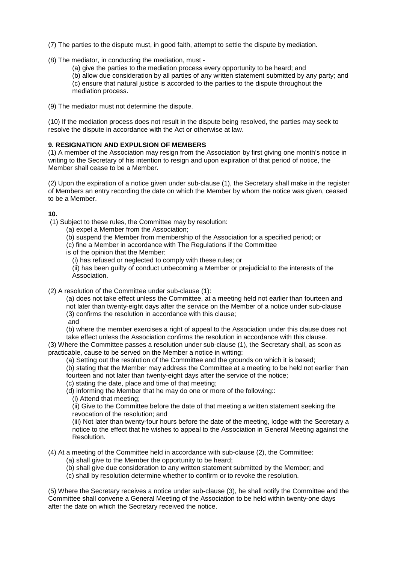- (7) The parties to the dispute must, in good faith, attempt to settle the dispute by mediation.
- (8) The mediator, in conducting the mediation, must
	- (a) give the parties to the mediation process every opportunity to be heard; and
	- (b) allow due consideration by all parties of any written statement submitted by any party; and (c) ensure that natural justice is accorded to the parties to the dispute throughout the mediation process.
- (9) The mediator must not determine the dispute.

(10) If the mediation process does not result in the dispute being resolved, the parties may seek to resolve the dispute in accordance with the Act or otherwise at law.

#### **9. RESIGNATION AND EXPULSION OF MEMBERS**

(1) A member of the Association may resign from the Association by first giving one month's notice in writing to the Secretary of his intention to resign and upon expiration of that period of notice, the Member shall cease to be a Member.

(2) Upon the expiration of a notice given under sub-clause (1), the Secretary shall make in the register of Members an entry recording the date on which the Member by whom the notice was given, ceased to be a Member.

#### **10.**

- (1) Subject to these rules, the Committee may by resolution:
	- (a) expel a Member from the Association;
	- (b) suspend the Member from membership of the Association for a specified period; or
	- (c) fine a Member in accordance with The Regulations if the Committee
	- is of the opinion that the Member:
		- (i) has refused or neglected to comply with these rules; or
		- (ii) has been guilty of conduct unbecoming a Member or prejudicial to the interests of the Association.
- (2) A resolution of the Committee under sub-clause (1):
	- (a) does not take effect unless the Committee, at a meeting held not earlier than fourteen and not later than twenty-eight days after the service on the Member of a notice under sub-clause (3) confirms the resolution in accordance with this clause;
	- and
	- (b) where the member exercises a right of appeal to the Association under this clause does not take effect unless the Association confirms the resolution in accordance with this clause.
- (3) Where the Committee passes a resolution under sub-clause (1), the Secretary shall, as soon as practicable, cause to be served on the Member a notice in writing:
	- (a) Setting out the resolution of the Committee and the grounds on which it is based;
	- (b) stating that the Member may address the Committee at a meeting to be held not earlier than
	- fourteen and not later than twenty-eight days after the service of the notice;
	- (c) stating the date, place and time of that meeting;
	- (d) informing the Member that he may do one or more of the following::
		- (i) Attend that meeting;

(ii) Give to the Committee before the date of that meeting a written statement seeking the revocation of the resolution; and

(iii) Not later than twenty-four hours before the date of the meeting, lodge with the Secretary a notice to the effect that he wishes to appeal to the Association in General Meeting against the Resolution.

#### (4) At a meeting of the Committee held in accordance with sub-clause (2), the Committee:

- (a) shall give to the Member the opportunity to be heard;
- (b) shall give due consideration to any written statement submitted by the Member; and
- (c) shall by resolution determine whether to confirm or to revoke the resolution.

(5) Where the Secretary receives a notice under sub-clause (3), he shall notify the Committee and the Committee shall convene a General Meeting of the Association to be held within twenty-one days after the date on which the Secretary received the notice.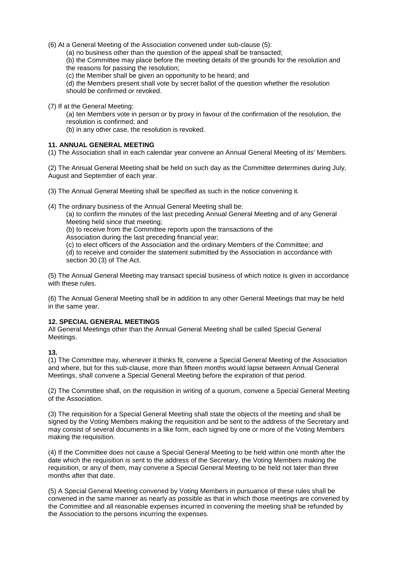(6) At a General Meeting of the Association convened under sub-clause (5):

(a) no business other than the question of the appeal shall be transacted;

(b) the Committee may place before the meeting details of the grounds for the resolution and the reasons for passing the resolution;

(c) the Member shall be given an opportunity to be heard; and

(d) the Members present shall vote by secret ballot of the question whether the resolution should be confirmed or revoked.

(7) If at the General Meeting:

(a) ten Members vote in person or by proxy in favour of the confirmation of the resolution, the resolution is confirmed; and

(b) in any other case, the resolution is revoked.

#### **11. ANNUAL GENERAL MEETING**

(1) The Association shall in each calendar year convene an Annual General Meeting of its' Members.

(2) The Annual General Meeting shall be held on such day as the Committee determines during July, August and September of each year.

(3) The Annual General Meeting shall be specified as such in the notice convening it.

(4) The ordinary business of the Annual General Meeting shall be:

(a) to confirm the minutes of the last preceding Annual General Meeting and of any General Meeting held since that meeting;

(b) to receive from the Committee reports upon the transactions of the

Association during the last preceding financial year;

(c) to elect officers of the Association and the ordinary Members of the Committee; and

(d) to receive and consider the statement submitted by the Association in accordance with section 30 (3) of The Act.

(5) The Annual General Meeting may transact special business of which notice is given in accordance with these rules

(6) The Annual General Meeting shall be in addition to any other General Meetings that may be held in the same year.

## **12. SPECIAL GENERAL MEETINGS**

All General Meetings other than the Annual General Meeting shall be called Special General Meetings.

**13.** 

(1) The Committee may, whenever it thinks fit, convene a Special General Meeting of the Association and where, but for this sub-clause, more than fifteen months would lapse between Annual General Meetings, shall convene a Special General Meeting before the expiration of that period.

(2) The Committee shall, on the requisition in writing of a quorum, convene a Special General Meeting of the Association.

(3) The requisition for a Special General Meeting shall state the objects of the meeting and shall be signed by the Voting Members making the requisition and be sent to the address of the Secretary and may consist of several documents in a like form, each signed by one or more of the Voting Members making the requisition.

(4) If the Committee does not cause a Special General Meeting to be held within one month after the date which the requisition is sent to the address of the Secretary, the Voting Members making the requisition, or any of them, may convene a Special General Meeting to be held not later than three months after that date.

(5) A Special General Meeting convened by Voting Members in pursuance of these rules shall be convened in the same manner as nearly as possible as that in which those meetings are convened by the Committee and all reasonable expenses incurred in convening the meeting shall be refunded by the Association to the persons incurring the expenses.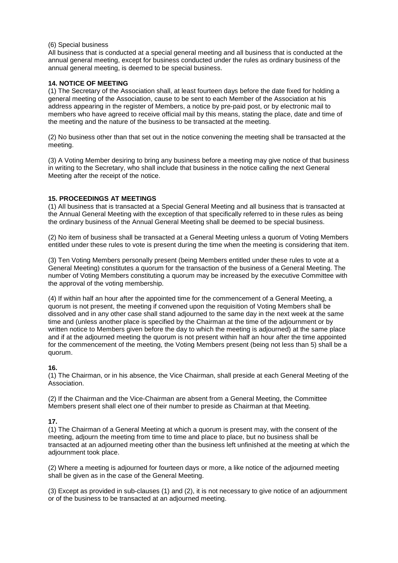#### (6) Special business

All business that is conducted at a special general meeting and all business that is conducted at the annual general meeting, except for business conducted under the rules as ordinary business of the annual general meeting, is deemed to be special business.

## **14. NOTICE OF MEETING**

(1) The Secretary of the Association shall, at least fourteen days before the date fixed for holding a general meeting of the Association, cause to be sent to each Member of the Association at his address appearing in the register of Members, a notice by pre-paid post, or by electronic mail to members who have agreed to receive official mail by this means, stating the place, date and time of the meeting and the nature of the business to be transacted at the meeting.

(2) No business other than that set out in the notice convening the meeting shall be transacted at the meeting.

(3) A Voting Member desiring to bring any business before a meeting may give notice of that business in writing to the Secretary, who shall include that business in the notice calling the next General Meeting after the receipt of the notice.

#### **15. PROCEEDINGS AT MEETINGS**

(1) All business that is transacted at a Special General Meeting and all business that is transacted at the Annual General Meeting with the exception of that specifically referred to in these rules as being the ordinary business of the Annual General Meeting shall be deemed to be special business.

(2) No item of business shall be transacted at a General Meeting unless a quorum of Voting Members entitled under these rules to vote is present during the time when the meeting is considering that item.

(3) Ten Voting Members personally present (being Members entitled under these rules to vote at a General Meeting) constitutes a quorum for the transaction of the business of a General Meeting. The number of Voting Members constituting a quorum may be increased by the executive Committee with the approval of the voting membership.

(4) If within half an hour after the appointed time for the commencement of a General Meeting, a quorum is not present, the meeting if convened upon the requisition of Voting Members shall be dissolved and in any other case shall stand adjourned to the same day in the next week at the same time and (unless another place is specified by the Chairman at the time of the adjournment or by written notice to Members given before the day to which the meeting is adjourned) at the same place and if at the adjourned meeting the quorum is not present within half an hour after the time appointed for the commencement of the meeting, the Voting Members present (being not less than 5) shall be a quorum.

## **16.**

(1) The Chairman, or in his absence, the Vice Chairman, shall preside at each General Meeting of the Association.

(2) If the Chairman and the Vice-Chairman are absent from a General Meeting, the Committee Members present shall elect one of their number to preside as Chairman at that Meeting.

## **17.**

(1) The Chairman of a General Meeting at which a quorum is present may, with the consent of the meeting, adjourn the meeting from time to time and place to place, but no business shall be transacted at an adjourned meeting other than the business left unfinished at the meeting at which the adjournment took place.

(2) Where a meeting is adjourned for fourteen days or more, a like notice of the adjourned meeting shall be given as in the case of the General Meeting.

(3) Except as provided in sub-clauses (1) and (2), it is not necessary to give notice of an adjournment or of the business to be transacted at an adjourned meeting.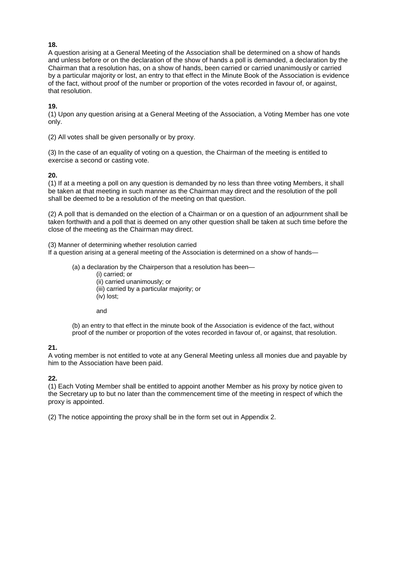## **18.**

A question arising at a General Meeting of the Association shall be determined on a show of hands and unless before or on the declaration of the show of hands a poll is demanded, a declaration by the Chairman that a resolution has, on a show of hands, been carried or carried unanimously or carried by a particular majority or lost, an entry to that effect in the Minute Book of the Association is evidence of the fact, without proof of the number or proportion of the votes recorded in favour of, or against, that resolution.

**19.** 

(1) Upon any question arising at a General Meeting of the Association, a Voting Member has one vote only.

(2) All votes shall be given personally or by proxy.

(3) In the case of an equality of voting on a question, the Chairman of the meeting is entitled to exercise a second or casting vote.

## **20.**

(1) If at a meeting a poll on any question is demanded by no less than three voting Members, it shall be taken at that meeting in such manner as the Chairman may direct and the resolution of the poll shall be deemed to be a resolution of the meeting on that question.

(2) A poll that is demanded on the election of a Chairman or on a question of an adjournment shall be taken forthwith and a poll that is deemed on any other question shall be taken at such time before the close of the meeting as the Chairman may direct.

(3) Manner of determining whether resolution carried

If a question arising at a general meeting of the Association is determined on a show of hands—

(a) a declaration by the Chairperson that a resolution has been—

(i) carried; or (ii) carried unanimously; or (iii) carried by a particular majority; or

(iv) lost;

and

(b) an entry to that effect in the minute book of the Association is evidence of the fact, without proof of the number or proportion of the votes recorded in favour of, or against, that resolution.

#### **21.**

A voting member is not entitled to vote at any General Meeting unless all monies due and payable by him to the Association have been paid.

#### **22.**

(1) Each Voting Member shall be entitled to appoint another Member as his proxy by notice given to the Secretary up to but no later than the commencement time of the meeting in respect of which the proxy is appointed.

(2) The notice appointing the proxy shall be in the form set out in Appendix 2.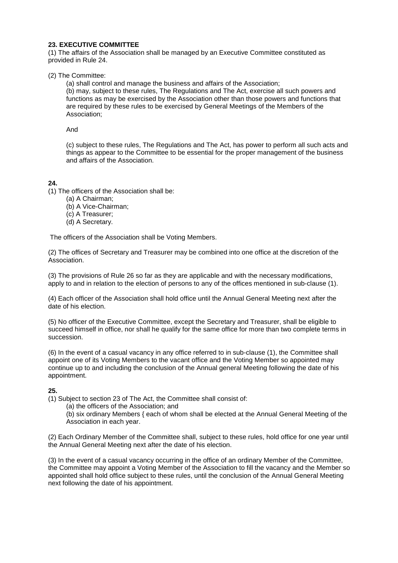## **23. EXECUTIVE COMMITTEE**

(1) The affairs of the Association shall be managed by an Executive Committee constituted as provided in Rule 24.

(2) The Committee:

(a) shall control and manage the business and affairs of the Association;

(b) may, subject to these rules, The Regulations and The Act, exercise all such powers and functions as may be exercised by the Association other than those powers and functions that are required by these rules to be exercised by General Meetings of the Members of the Association;

And

(c) subject to these rules, The Regulations and The Act, has power to perform all such acts and things as appear to the Committee to be essential for the proper management of the business and affairs of the Association.

## **24.**

(1) The officers of the Association shall be:

- (a) A Chairman;
- (b) A Vice-Chairman;
- (c) A Treasurer;
- (d) A Secretary.

The officers of the Association shall be Voting Members.

(2) The offices of Secretary and Treasurer may be combined into one office at the discretion of the Association.

(3) The provisions of Rule 26 so far as they are applicable and with the necessary modifications, apply to and in relation to the election of persons to any of the offices mentioned in sub-clause (1).

(4) Each officer of the Association shall hold office until the Annual General Meeting next after the date of his election.

(5) No officer of the Executive Committee, except the Secretary and Treasurer, shall be eligible to succeed himself in office, nor shall he qualify for the same office for more than two complete terms in succession.

(6) In the event of a casual vacancy in any office referred to in sub-clause (1), the Committee shall appoint one of its Voting Members to the vacant office and the Voting Member so appointed may continue up to and including the conclusion of the Annual general Meeting following the date of his appointment.

## **25.**

(1) Subject to section 23 of The Act, the Committee shall consist of:

(a) the officers of the Association; and

(b) six ordinary Members { each of whom shall be elected at the Annual General Meeting of the Association in each year.

(2) Each Ordinary Member of the Committee shall, subject to these rules, hold office for one year until the Annual General Meeting next after the date of his election.

(3) In the event of a casual vacancy occurring in the office of an ordinary Member of the Committee, the Committee may appoint a Voting Member of the Association to fill the vacancy and the Member so appointed shall hold office subject to these rules, until the conclusion of the Annual General Meeting next following the date of his appointment.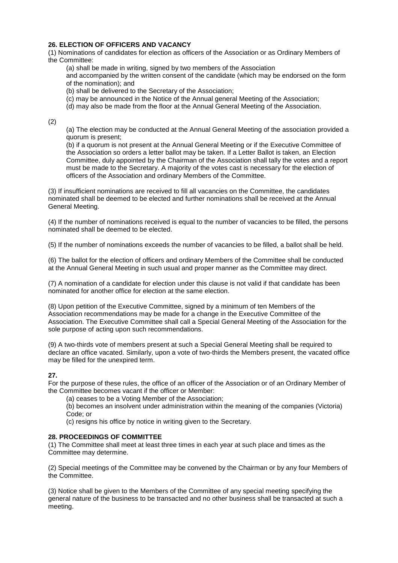## **26. ELECTION OF OFFICERS AND VACANCY**

(1) Nominations of candidates for election as officers of the Association or as Ordinary Members of the Committee:

(a) shall be made in writing, signed by two members of the Association

and accompanied by the written consent of the candidate (which may be endorsed on the form of the nomination); and

(b) shall be delivered to the Secretary of the Association;

(c) may be announced in the Notice of the Annual general Meeting of the Association;

(d) may also be made from the floor at the Annual General Meeting of the Association.

(2)

(a) The election may be conducted at the Annual General Meeting of the association provided a quorum is present;

(b) if a quorum is not present at the Annual General Meeting or if the Executive Committee of the Association so orders a letter ballot may be taken. If a Letter Ballot is taken, an Election Committee, duly appointed by the Chairman of the Association shall tally the votes and a report must be made to the Secretary. A majority of the votes cast is necessary for the election of officers of the Association and ordinary Members of the Committee.

(3) If insufficient nominations are received to fill all vacancies on the Committee, the candidates nominated shall be deemed to be elected and further nominations shall be received at the Annual General Meeting.

(4) If the number of nominations received is equal to the number of vacancies to be filled, the persons nominated shall be deemed to be elected.

(5) If the number of nominations exceeds the number of vacancies to be filled, a ballot shall be held.

(6) The ballot for the election of officers and ordinary Members of the Committee shall be conducted at the Annual General Meeting in such usual and proper manner as the Committee may direct.

(7) A nomination of a candidate for election under this clause is not valid if that candidate has been nominated for another office for election at the same election.

(8) Upon petition of the Executive Committee, signed by a minimum of ten Members of the Association recommendations may be made for a change in the Executive Committee of the Association. The Executive Committee shall call a Special General Meeting of the Association for the sole purpose of acting upon such recommendations.

(9) A two-thirds vote of members present at such a Special General Meeting shall be required to declare an office vacated. Similarly, upon a vote of two-thirds the Members present, the vacated office may be filled for the unexpired term.

## **27.**

For the purpose of these rules, the office of an officer of the Association or of an Ordinary Member of the Committee becomes vacant if the officer or Member:

(a) ceases to be a Voting Member of the Association;

(b) becomes an insolvent under administration within the meaning of the companies (Victoria) Code; or

(c) resigns his office by notice in writing given to the Secretary.

#### **28. PROCEEDINGS OF COMMITTEE**

(1) The Committee shall meet at least three times in each year at such place and times as the Committee may determine.

(2) Special meetings of the Committee may be convened by the Chairman or by any four Members of the Committee.

(3) Notice shall be given to the Members of the Committee of any special meeting specifying the general nature of the business to be transacted and no other business shall be transacted at such a meeting.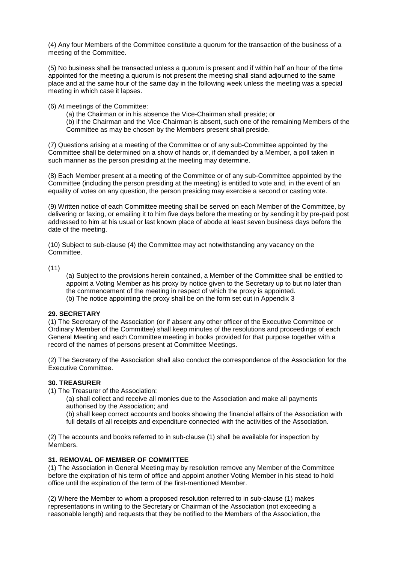(4) Any four Members of the Committee constitute a quorum for the transaction of the business of a meeting of the Committee.

(5) No business shall be transacted unless a quorum is present and if within half an hour of the time appointed for the meeting a quorum is not present the meeting shall stand adjourned to the same place and at the same hour of the same day in the following week unless the meeting was a special meeting in which case it lapses.

(6) At meetings of the Committee:

(a) the Chairman or in his absence the Vice-Chairman shall preside; or

(b) if the Chairman and the Vice-Chairman is absent, such one of the remaining Members of the Committee as may be chosen by the Members present shall preside.

(7) Questions arising at a meeting of the Committee or of any sub-Committee appointed by the Committee shall be determined on a show of hands or, if demanded by a Member, a poll taken in such manner as the person presiding at the meeting may determine.

(8) Each Member present at a meeting of the Committee or of any sub-Committee appointed by the Committee (including the person presiding at the meeting) is entitled to vote and, in the event of an equality of votes on any question, the person presiding may exercise a second or casting vote.

(9) Written notice of each Committee meeting shall be served on each Member of the Committee, by delivering or faxing, or emailing it to him five days before the meeting or by sending it by pre-paid post addressed to him at his usual or last known place of abode at least seven business days before the date of the meeting.

(10) Subject to sub-clause (4) the Committee may act notwithstanding any vacancy on the Committee.

(11)

- (a) Subject to the provisions herein contained, a Member of the Committee shall be entitled to appoint a Voting Member as his proxy by notice given to the Secretary up to but no later than the commencement of the meeting in respect of which the proxy is appointed.
- (b) The notice appointing the proxy shall be on the form set out in Appendix 3

## **29. SECRETARY**

(1) The Secretary of the Association (or if absent any other officer of the Executive Committee or Ordinary Member of the Committee) shall keep minutes of the resolutions and proceedings of each General Meeting and each Committee meeting in books provided for that purpose together with a record of the names of persons present at Committee Meetings.

(2) The Secretary of the Association shall also conduct the correspondence of the Association for the Executive Committee.

#### **30. TREASURER**

- (1) The Treasurer of the Association:
	- (a) shall collect and receive all monies due to the Association and make all payments authorised by the Association; and
	- (b) shall keep correct accounts and books showing the financial affairs of the Association with full details of all receipts and expenditure connected with the activities of the Association.

(2) The accounts and books referred to in sub-clause (1) shall be available for inspection by Members.

## **31. REMOVAL OF MEMBER OF COMMITTEE**

(1) The Association in General Meeting may by resolution remove any Member of the Committee before the expiration of his term of office and appoint another Voting Member in his stead to hold office until the expiration of the term of the first-mentioned Member.

(2) Where the Member to whom a proposed resolution referred to in sub-clause (1) makes representations in writing to the Secretary or Chairman of the Association (not exceeding a reasonable length) and requests that they be notified to the Members of the Association, the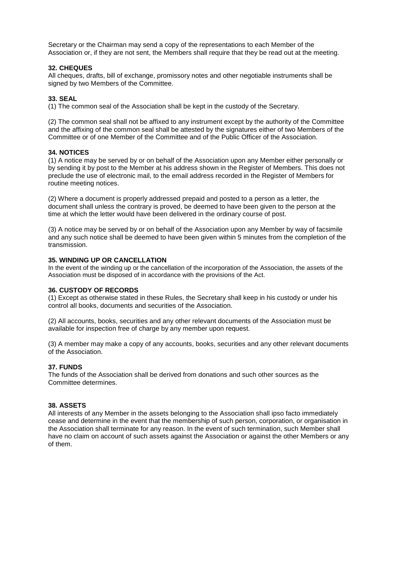Secretary or the Chairman may send a copy of the representations to each Member of the Association or, if they are not sent, the Members shall require that they be read out at the meeting.

## **32. CHEQUES**

All cheques, drafts, bill of exchange, promissory notes and other negotiable instruments shall be signed by two Members of the Committee.

#### **33. SEAL**

(1) The common seal of the Association shall be kept in the custody of the Secretary.

(2) The common seal shall not be affixed to any instrument except by the authority of the Committee and the affixing of the common seal shall be attested by the signatures either of two Members of the Committee or of one Member of the Committee and of the Public Officer of the Association.

#### **34. NOTICES**

(1) A notice may be served by or on behalf of the Association upon any Member either personally or by sending it by post to the Member at his address shown in the Register of Members. This does not preclude the use of electronic mail, to the email address recorded in the Register of Members for routine meeting notices.

(2) Where a document is properly addressed prepaid and posted to a person as a letter, the document shall unless the contrary is proved, be deemed to have been given to the person at the time at which the letter would have been delivered in the ordinary course of post.

(3) A notice may be served by or on behalf of the Association upon any Member by way of facsimile and any such notice shall be deemed to have been given within 5 minutes from the completion of the transmission.

## **35. WINDING UP OR CANCELLATION**

In the event of the winding up or the cancellation of the incorporation of the Association, the assets of the Association must be disposed of in accordance with the provisions of the Act.

#### **36. CUSTODY OF RECORDS**

(1) Except as otherwise stated in these Rules, the Secretary shall keep in his custody or under his control all books, documents and securities of the Association.

(2) All accounts, books, securities and any other relevant documents of the Association must be available for inspection free of charge by any member upon request.

(3) A member may make a copy of any accounts, books, securities and any other relevant documents of the Association.

#### **37. FUNDS**

The funds of the Association shall be derived from donations and such other sources as the Committee determines.

#### **38. ASSETS**

All interests of any Member in the assets belonging to the Association shall ipso facto immediately cease and determine in the event that the membership of such person, corporation, or organisation in the Association shall terminate for any reason. In the event of such termination, such Member shall have no claim on account of such assets against the Association or against the other Members or any of them.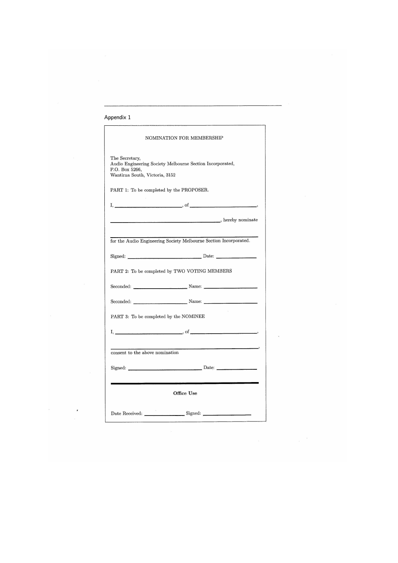| NOMINATION FOR MEMBERSHIP                                                                                                       |
|---------------------------------------------------------------------------------------------------------------------------------|
| The Secretary,<br>Audio Engineering Society Melbourne Section Incorporated,<br>P.O. Box 5266,<br>Wantirna South, Victoria, 3152 |
| PART 1: To be completed by the PROPOSER.                                                                                        |
| $I,$ $\overline{\phantom{a}}$ , of $\overline{\phantom{a}}$                                                                     |
| hereby nominate                                                                                                                 |
| for the Audio Engineering Society Melbourne Section Incorporated.                                                               |
|                                                                                                                                 |
| PART 2: To be completed by TWO VOTING MEMBERS                                                                                   |
| Seconded: Name: Name:                                                                                                           |
| Seconded: Name: Name:                                                                                                           |
| PART 3: To be completed by the NOMINEE                                                                                          |
| $I, \underline{\hspace{1cm}}$ , $o(f, \underline{\hspace{1cm}})$                                                                |
| consent to the above nomination                                                                                                 |
| Signed: Date: Date:                                                                                                             |
|                                                                                                                                 |
| Office Use                                                                                                                      |
| Date Received: Signed: Signed:                                                                                                  |
|                                                                                                                                 |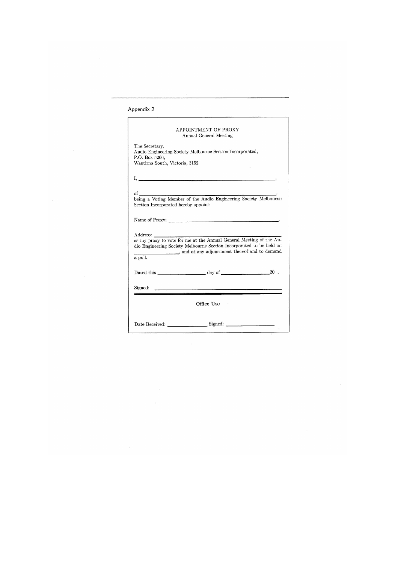# Appendix 2

|                                                                                                                                                                                                                                                                                                                                                        | APPOINTMENT OF PROXY                                                                                                  |
|--------------------------------------------------------------------------------------------------------------------------------------------------------------------------------------------------------------------------------------------------------------------------------------------------------------------------------------------------------|-----------------------------------------------------------------------------------------------------------------------|
|                                                                                                                                                                                                                                                                                                                                                        | Annual General Meeting                                                                                                |
|                                                                                                                                                                                                                                                                                                                                                        |                                                                                                                       |
| The Secretary,                                                                                                                                                                                                                                                                                                                                         |                                                                                                                       |
|                                                                                                                                                                                                                                                                                                                                                        | Audio Engineering Society Melbourne Section Incorporated,                                                             |
| P.O. Box 5266,                                                                                                                                                                                                                                                                                                                                         |                                                                                                                       |
| Wantirna South, Victoria, 3152                                                                                                                                                                                                                                                                                                                         |                                                                                                                       |
|                                                                                                                                                                                                                                                                                                                                                        |                                                                                                                       |
| $\mathbf{I}_{\mathbf{A}}$ and $\mathbf{I}_{\mathbf{A}}$ are all $\mathbf{I}_{\mathbf{A}}$ and $\mathbf{I}_{\mathbf{A}}$ are all $\mathbf{I}_{\mathbf{A}}$ and $\mathbf{I}_{\mathbf{A}}$ are all $\mathbf{I}_{\mathbf{A}}$ and $\mathbf{I}_{\mathbf{A}}$ are all $\mathbf{I}_{\mathbf{A}}$ and $\mathbf{I}_{\mathbf{A}}$ are all $\mathbf{I}_{\mathbf{$ |                                                                                                                       |
|                                                                                                                                                                                                                                                                                                                                                        |                                                                                                                       |
|                                                                                                                                                                                                                                                                                                                                                        |                                                                                                                       |
|                                                                                                                                                                                                                                                                                                                                                        |                                                                                                                       |
| Section Incorporated hereby appoint:                                                                                                                                                                                                                                                                                                                   |                                                                                                                       |
|                                                                                                                                                                                                                                                                                                                                                        |                                                                                                                       |
|                                                                                                                                                                                                                                                                                                                                                        |                                                                                                                       |
|                                                                                                                                                                                                                                                                                                                                                        |                                                                                                                       |
|                                                                                                                                                                                                                                                                                                                                                        |                                                                                                                       |
| Address:                                                                                                                                                                                                                                                                                                                                               |                                                                                                                       |
|                                                                                                                                                                                                                                                                                                                                                        | Address:<br>as my proxy to vote for me at the Annual General Meeting of the Au-                                       |
|                                                                                                                                                                                                                                                                                                                                                        | dio Engineering Society Melbourne Section Incorporated to be held on                                                  |
|                                                                                                                                                                                                                                                                                                                                                        | a poll. and at any adjournment thereof and to demand a poll.                                                          |
|                                                                                                                                                                                                                                                                                                                                                        |                                                                                                                       |
|                                                                                                                                                                                                                                                                                                                                                        |                                                                                                                       |
|                                                                                                                                                                                                                                                                                                                                                        | $20$ .                                                                                                                |
|                                                                                                                                                                                                                                                                                                                                                        |                                                                                                                       |
| Signed:                                                                                                                                                                                                                                                                                                                                                | <u> 1980 - Andrea Andrea Andrea Andrea Andrea Andrea Andrea Andrea Andrea Andrea Andrea Andrea Andrea Andrea Andr</u> |
|                                                                                                                                                                                                                                                                                                                                                        |                                                                                                                       |
|                                                                                                                                                                                                                                                                                                                                                        |                                                                                                                       |
|                                                                                                                                                                                                                                                                                                                                                        | Office Use                                                                                                            |
|                                                                                                                                                                                                                                                                                                                                                        |                                                                                                                       |
|                                                                                                                                                                                                                                                                                                                                                        | Date Received: Signed: Signed:                                                                                        |
|                                                                                                                                                                                                                                                                                                                                                        |                                                                                                                       |